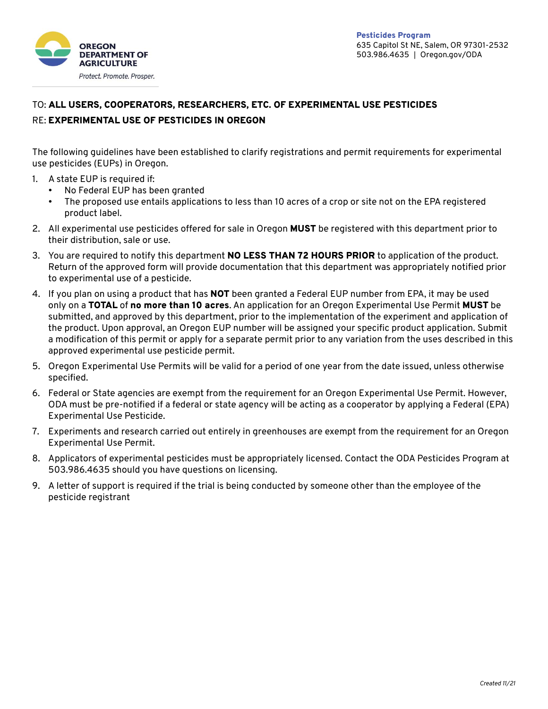

## TO: ALL USERS, COOPERATORS, RESEARCHERS, ETC. OF EXPERIMENTAL USE PESTICIDES RE: EXPERIMENTAL USE OF PESTICIDES IN OREGON

The following guidelines have been established to clarify registrations and permit requirements for experimental use pesticides (EUPs) in Oregon.

- 1. A state EUP is required if:
	- No Federal EUP has been granted
	- The proposed use entails applications to less than 10 acres of a crop or site not on the EPA registered product label.
- 2. All experimental use pesticides offered for sale in Oregon MUST be registered with this department prior to their distribution, sale or use.
- 3. You are required to notify this department NO LESS THAN 72 HOURS PRIOR to application of the product. Return of the approved form will provide documentation that this department was appropriately notified prior to experimental use of a pesticide.
- 4. If you plan on using a product that has **NOT** been granted a Federal EUP number from EPA, it may be used only on a TOTAL of no more than 10 acres. An application for an Oregon Experimental Use Permit MUST be submitted, and approved by this department, prior to the implementation of the experiment and application of the product. Upon approval, an Oregon EUP number will be assigned your specific product application. Submit a modification of this permit or apply for a separate permit prior to any variation from the uses described in this approved experimental use pesticide permit.
- 5. Oregon Experimental Use Permits will be valid for a period of one year from the date issued, unless otherwise specified.
- 6. Federal or State agencies are exempt from the requirement for an Oregon Experimental Use Permit. However, ODA must be pre-notified if a federal or state agency will be acting as a cooperator by applying a Federal (EPA) Experimental Use Pesticide.
- 7. Experiments and research carried out entirely in greenhouses are exempt from the requirement for an Oregon Experimental Use Permit.
- 8. Applicators of experimental pesticides must be appropriately licensed. Contact the ODA Pesticides Program at 503.986.4635 should you have questions on licensing.
- 9. A letter of support is required if the trial is being conducted by someone other than the employee of the pesticide registrant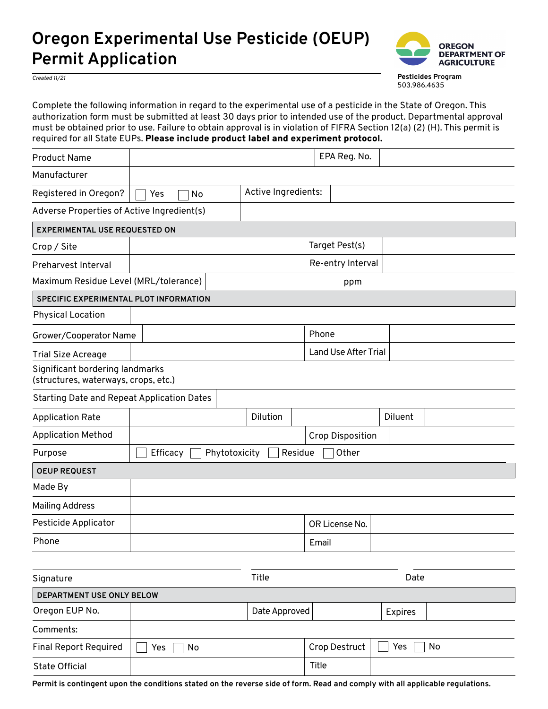## **Oregon Experimental Use Pesticide (OEUP) Permit Application**



**Pesticides Program** 503.986.4635

*Created 11/21*

Complete the following information in regard to the experimental use of a pesticide in the State of Oregon. This authorization form must be submitted at least 30 days prior to intended use of the product. Departmental approval must be obtained prior to use. Failure to obtain approval is in violation of FIFRA Section 12(a) (2) (H). This permit is required for all State EUPs. Please include product label and experiment protocol.

| <b>Product Name</b>                                                     |                                               |  |                     |       | EPA Reg. No.                |                |  |  |  |
|-------------------------------------------------------------------------|-----------------------------------------------|--|---------------------|-------|-----------------------------|----------------|--|--|--|
| Manufacturer                                                            |                                               |  |                     |       |                             |                |  |  |  |
| Registered in Oregon?                                                   | Yes<br>No                                     |  | Active Ingredients: |       |                             |                |  |  |  |
| Adverse Properties of Active Ingredient(s)                              |                                               |  |                     |       |                             |                |  |  |  |
| <b>EXPERIMENTAL USE REQUESTED ON</b>                                    |                                               |  |                     |       |                             |                |  |  |  |
| Crop / Site                                                             |                                               |  |                     |       | Target Pest(s)              |                |  |  |  |
| Preharvest Interval                                                     |                                               |  |                     |       | Re-entry Interval           |                |  |  |  |
| Maximum Residue Level (MRL/tolerance)                                   | ppm                                           |  |                     |       |                             |                |  |  |  |
| SPECIFIC EXPERIMENTAL PLOT INFORMATION                                  |                                               |  |                     |       |                             |                |  |  |  |
| <b>Physical Location</b>                                                |                                               |  |                     |       |                             |                |  |  |  |
| Grower/Cooperator Name                                                  |                                               |  |                     | Phone |                             |                |  |  |  |
| <b>Trial Size Acreage</b>                                               |                                               |  |                     |       | <b>Land Use After Trial</b> |                |  |  |  |
| Significant bordering landmarks<br>(structures, waterways, crops, etc.) |                                               |  |                     |       |                             |                |  |  |  |
| <b>Starting Date and Repeat Application Dates</b>                       |                                               |  |                     |       |                             |                |  |  |  |
| <b>Application Rate</b>                                                 |                                               |  | Dilution            |       |                             | <b>Diluent</b> |  |  |  |
| <b>Application Method</b>                                               | <b>Crop Disposition</b>                       |  |                     |       |                             |                |  |  |  |
| Purpose                                                                 | Phytotoxicity<br>Other<br>Efficacy<br>Residue |  |                     |       |                             |                |  |  |  |
| <b>OEUP REQUEST</b>                                                     |                                               |  |                     |       |                             |                |  |  |  |
| Made By                                                                 |                                               |  |                     |       |                             |                |  |  |  |
| <b>Mailing Address</b>                                                  |                                               |  |                     |       |                             |                |  |  |  |
| Pesticide Applicator                                                    |                                               |  |                     |       | OR License No.              |                |  |  |  |
| Phone                                                                   |                                               |  |                     |       | Email                       |                |  |  |  |

| Signature                    | Title     |               | Date          |                |    |  |  |  |  |  |
|------------------------------|-----------|---------------|---------------|----------------|----|--|--|--|--|--|
| DEPARTMENT USE ONLY BELOW    |           |               |               |                |    |  |  |  |  |  |
| Oregon EUP No.               |           | Date Approved |               | <b>Expires</b> |    |  |  |  |  |  |
| Comments:                    |           |               |               |                |    |  |  |  |  |  |
| <b>Final Report Required</b> | Yes<br>No |               | Crop Destruct | Yes            | No |  |  |  |  |  |
| <b>State Official</b>        |           |               | Title         |                |    |  |  |  |  |  |

**Permit is contingent upon the conditions stated on the reverse side of form. Read and comply with all applicable regulations.**